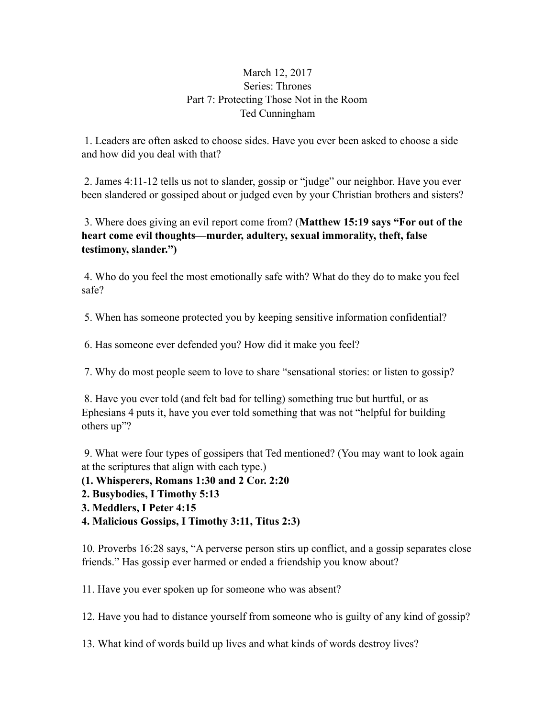## March 12, 2017 Series: Thrones Part 7: Protecting Those Not in the Room Ted Cunningham

 1. Leaders are often asked to choose sides. Have you ever been asked to choose a side and how did you deal with that?

 2. James 4:11-12 tells us not to slander, gossip or "judge" our neighbor. Have you ever been slandered or gossiped about or judged even by your Christian brothers and sisters?

 3. Where does giving an evil report come from? (**Matthew 15:19 says "For out of the heart come evil thoughts—murder, adultery, sexual immorality, theft, false testimony, slander.")** 

 4. Who do you feel the most emotionally safe with? What do they do to make you feel safe?

5. When has someone protected you by keeping sensitive information confidential?

6. Has someone ever defended you? How did it make you feel?

7. Why do most people seem to love to share "sensational stories: or listen to gossip?

 8. Have you ever told (and felt bad for telling) something true but hurtful, or as Ephesians 4 puts it, have you ever told something that was not "helpful for building others up"?

 9. What were four types of gossipers that Ted mentioned? (You may want to look again at the scriptures that align with each type.)

**(1. Whisperers, Romans 1:30 and 2 Cor. 2:20** 

**2. Busybodies, I Timothy 5:13** 

**3. Meddlers, I Peter 4:15** 

**4. Malicious Gossips, I Timothy 3:11, Titus 2:3)** 

10. Proverbs 16:28 says, "A perverse person stirs up conflict, and a gossip separates close friends." Has gossip ever harmed or ended a friendship you know about?

11. Have you ever spoken up for someone who was absent?

12. Have you had to distance yourself from someone who is guilty of any kind of gossip?

13. What kind of words build up lives and what kinds of words destroy lives?